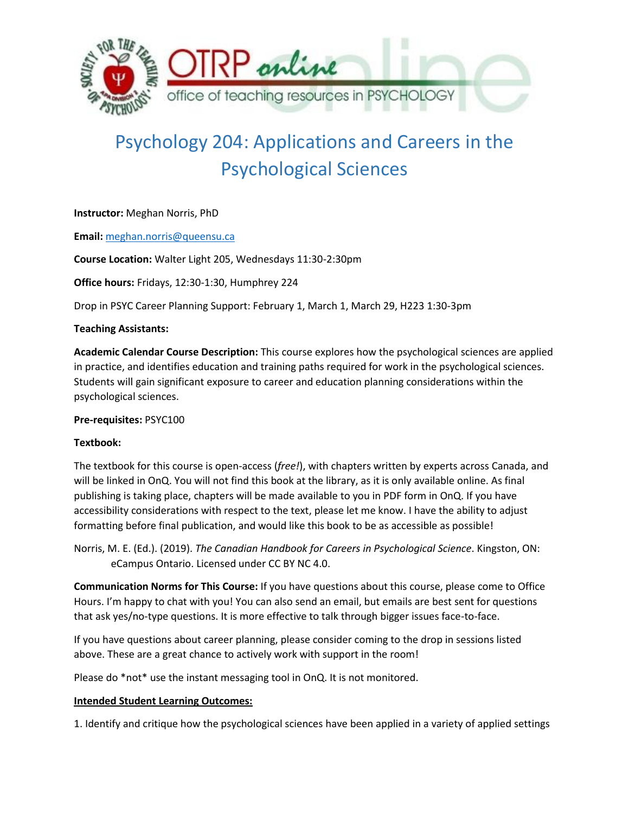

# Psychology 204: Applications and Careers in the Psychological Sciences

**Instructor:** Meghan Norris, PhD

**Email:** [meghan.norris@queensu.ca](mailto:meghan.norris@queensu.ca)

**Course Location:** Walter Light 205, Wednesdays 11:30-2:30pm

**Office hours:** Fridays, 12:30-1:30, Humphrey 224

Drop in PSYC Career Planning Support: February 1, March 1, March 29, H223 1:30-3pm

## **Teaching Assistants:**

**Academic Calendar Course Description:** This course explores how the psychological sciences are applied in practice, and identifies education and training paths required for work in the psychological sciences. Students will gain significant exposure to career and education planning considerations within the psychological sciences.

## **Pre-requisites:** PSYC100

## **Textbook:**

The textbook for this course is open-access (*free!*), with chapters written by experts across Canada, and will be linked in OnQ. You will not find this book at the library, as it is only available online. As final publishing is taking place, chapters will be made available to you in PDF form in OnQ. If you have accessibility considerations with respect to the text, please let me know. I have the ability to adjust formatting before final publication, and would like this book to be as accessible as possible!

Norris, M. E. (Ed.). (2019). *The Canadian Handbook for Careers in Psychological Science*. Kingston, ON: eCampus Ontario. Licensed under CC BY NC 4.0.

**Communication Norms for This Course:** If you have questions about this course, please come to Office Hours. I'm happy to chat with you! You can also send an email, but emails are best sent for questions that ask yes/no-type questions. It is more effective to talk through bigger issues face-to-face.

If you have questions about career planning, please consider coming to the drop in sessions listed above. These are a great chance to actively work with support in the room!

Please do \*not\* use the instant messaging tool in OnQ. It is not monitored.

## **Intended Student Learning Outcomes:**

1. Identify and critique how the psychological sciences have been applied in a variety of applied settings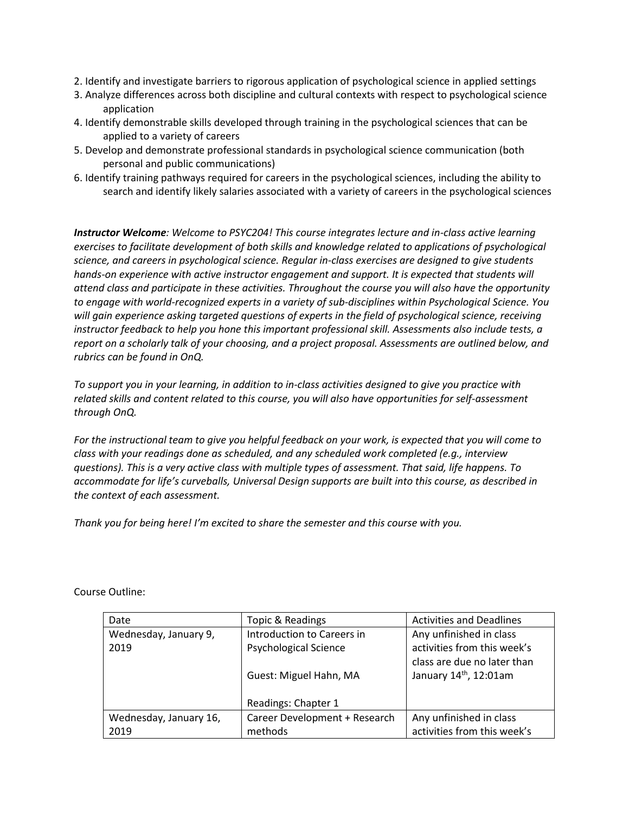- 2. Identify and investigate barriers to rigorous application of psychological science in applied settings
- 3. Analyze differences across both discipline and cultural contexts with respect to psychological science application
- 4. Identify demonstrable skills developed through training in the psychological sciences that can be applied to a variety of careers
- 5. Develop and demonstrate professional standards in psychological science communication (both personal and public communications)
- 6. Identify training pathways required for careers in the psychological sciences, including the ability to search and identify likely salaries associated with a variety of careers in the psychological sciences

*Instructor Welcome: Welcome to PSYC204! This course integrates lecture and in-class active learning exercises to facilitate development of both skills and knowledge related to applications of psychological science, and careers in psychological science. Regular in-class exercises are designed to give students hands-on experience with active instructor engagement and support. It is expected that students will attend class and participate in these activities. Throughout the course you will also have the opportunity to engage with world-recognized experts in a variety of sub-disciplines within Psychological Science. You will gain experience asking targeted questions of experts in the field of psychological science, receiving instructor feedback to help you hone this important professional skill. Assessments also include tests, a report on a scholarly talk of your choosing, and a project proposal. Assessments are outlined below, and rubrics can be found in OnQ.*

*To support you in your learning, in addition to in-class activities designed to give you practice with related skills and content related to this course, you will also have opportunities for self-assessment through OnQ.*

*For the instructional team to give you helpful feedback on your work, is expected that you will come to class with your readings done as scheduled, and any scheduled work completed (e.g., interview questions). This is a very active class with multiple types of assessment. That said, life happens. To accommodate for life's curveballs, Universal Design supports are built into this course, as described in the context of each assessment.* 

*Thank you for being here! I'm excited to share the semester and this course with you.*

| Date                   | Topic & Readings              | <b>Activities and Deadlines</b>    |  |
|------------------------|-------------------------------|------------------------------------|--|
| Wednesday, January 9,  | Introduction to Careers in    | Any unfinished in class            |  |
| 2019                   | <b>Psychological Science</b>  | activities from this week's        |  |
|                        |                               | class are due no later than        |  |
|                        | Guest: Miguel Hahn, MA        | January 14 <sup>th</sup> , 12:01am |  |
|                        |                               |                                    |  |
|                        | Readings: Chapter 1           |                                    |  |
| Wednesday, January 16, | Career Development + Research | Any unfinished in class            |  |
| 2019                   | methods                       | activities from this week's        |  |

Course Outline: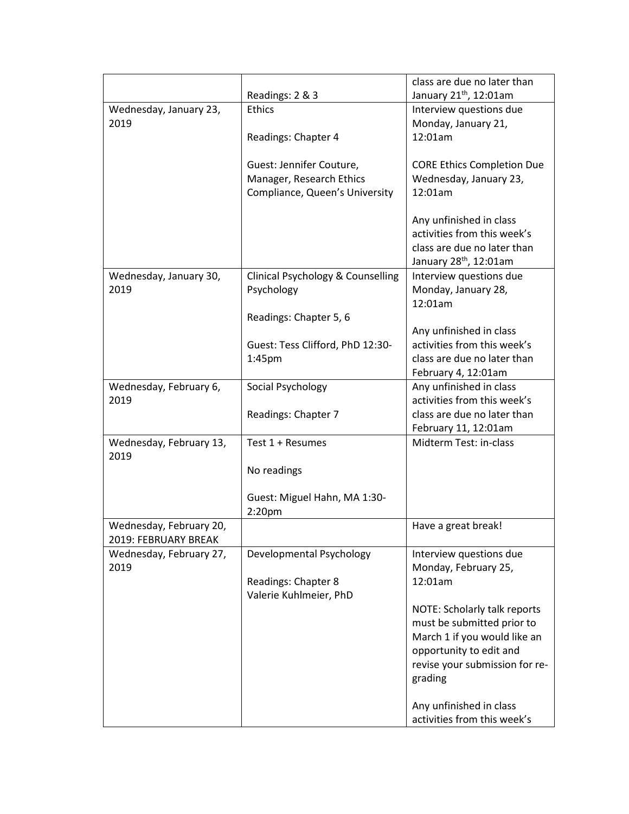|                         |                                              | class are due no later than                            |
|-------------------------|----------------------------------------------|--------------------------------------------------------|
|                         | Readings: 2 & 3                              | January 21 <sup>th</sup> , 12:01am                     |
| Wednesday, January 23,  | <b>Ethics</b>                                | Interview questions due                                |
| 2019                    |                                              | Monday, January 21,                                    |
|                         | Readings: Chapter 4                          | 12:01am                                                |
|                         | Guest: Jennifer Couture,                     | <b>CORE Ethics Completion Due</b>                      |
|                         | Manager, Research Ethics                     | Wednesday, January 23,                                 |
|                         | Compliance, Queen's University               | 12:01am                                                |
|                         |                                              |                                                        |
|                         |                                              | Any unfinished in class                                |
|                         |                                              | activities from this week's                            |
|                         |                                              | class are due no later than                            |
|                         |                                              | January 28 <sup>th</sup> , 12:01am                     |
| Wednesday, January 30,  | <b>Clinical Psychology &amp; Counselling</b> | Interview questions due                                |
| 2019                    | Psychology                                   | Monday, January 28,                                    |
|                         |                                              | 12:01am                                                |
|                         | Readings: Chapter 5, 6                       |                                                        |
|                         |                                              | Any unfinished in class<br>activities from this week's |
|                         | Guest: Tess Clifford, PhD 12:30-<br>1:45pm   | class are due no later than                            |
|                         |                                              | February 4, 12:01am                                    |
| Wednesday, February 6,  | Social Psychology                            | Any unfinished in class                                |
| 2019                    |                                              | activities from this week's                            |
|                         | Readings: Chapter 7                          | class are due no later than                            |
|                         |                                              | February 11, 12:01am                                   |
| Wednesday, February 13, | Test 1 + Resumes                             | Midterm Test: in-class                                 |
| 2019                    |                                              |                                                        |
|                         | No readings                                  |                                                        |
|                         |                                              |                                                        |
|                         | Guest: Miguel Hahn, MA 1:30-                 |                                                        |
| Wednesday, February 20, | 2:20 <sub>pm</sub>                           |                                                        |
| 2019: FEBRUARY BREAK    |                                              | Have a great break!                                    |
| Wednesday, February 27, | Developmental Psychology                     | Interview questions due                                |
| 2019                    |                                              | Monday, February 25,                                   |
|                         | Readings: Chapter 8                          | 12:01am                                                |
|                         | Valerie Kuhlmeier, PhD                       |                                                        |
|                         |                                              | NOTE: Scholarly talk reports                           |
|                         |                                              | must be submitted prior to                             |
|                         |                                              | March 1 if you would like an                           |
|                         |                                              | opportunity to edit and                                |
|                         |                                              | revise your submission for re-                         |
|                         |                                              | grading                                                |
|                         |                                              |                                                        |
|                         |                                              | Any unfinished in class<br>activities from this week's |
|                         |                                              |                                                        |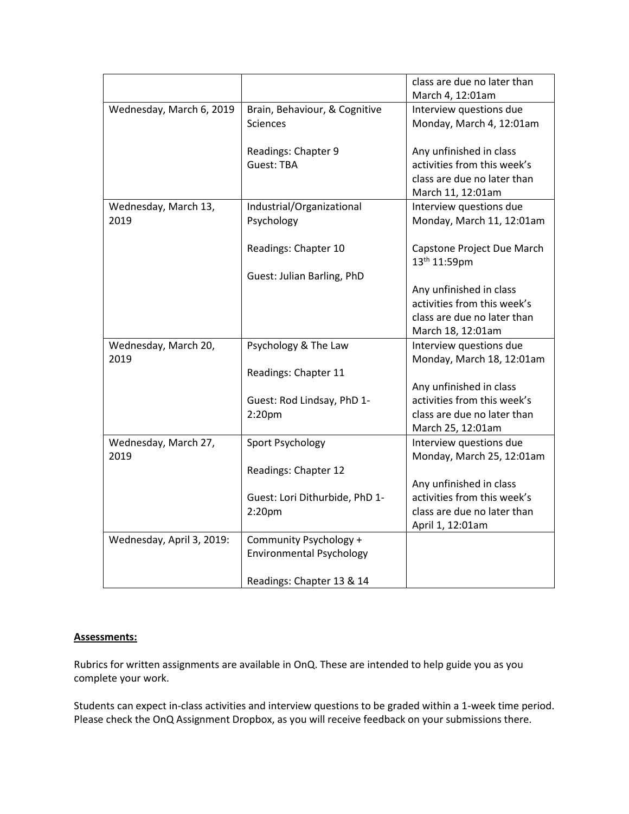|                           |                                 | class are due no later than |
|---------------------------|---------------------------------|-----------------------------|
|                           |                                 | March 4, 12:01am            |
| Wednesday, March 6, 2019  | Brain, Behaviour, & Cognitive   | Interview questions due     |
|                           | <b>Sciences</b>                 | Monday, March 4, 12:01am    |
|                           |                                 |                             |
|                           | Readings: Chapter 9             | Any unfinished in class     |
|                           | Guest: TBA                      | activities from this week's |
|                           |                                 | class are due no later than |
|                           |                                 | March 11, 12:01am           |
| Wednesday, March 13,      | Industrial/Organizational       | Interview questions due     |
| 2019                      | Psychology                      | Monday, March 11, 12:01am   |
|                           |                                 |                             |
|                           | Readings: Chapter 10            | Capstone Project Due March  |
|                           |                                 | 13th 11:59pm                |
|                           | Guest: Julian Barling, PhD      |                             |
|                           |                                 | Any unfinished in class     |
|                           |                                 | activities from this week's |
|                           |                                 | class are due no later than |
|                           |                                 | March 18, 12:01am           |
| Wednesday, March 20,      | Psychology & The Law            | Interview questions due     |
| 2019                      |                                 | Monday, March 18, 12:01am   |
|                           | Readings: Chapter 11            |                             |
|                           |                                 | Any unfinished in class     |
|                           | Guest: Rod Lindsay, PhD 1-      | activities from this week's |
|                           | 2:20pm                          | class are due no later than |
|                           |                                 | March 25, 12:01am           |
| Wednesday, March 27,      | Sport Psychology                | Interview questions due     |
| 2019                      |                                 | Monday, March 25, 12:01am   |
|                           | Readings: Chapter 12            |                             |
|                           |                                 | Any unfinished in class     |
|                           | Guest: Lori Dithurbide, PhD 1-  | activities from this week's |
|                           | $2:20$ pm                       | class are due no later than |
|                           |                                 | April 1, 12:01am            |
| Wednesday, April 3, 2019: | Community Psychology +          |                             |
|                           | <b>Environmental Psychology</b> |                             |
|                           |                                 |                             |
|                           | Readings: Chapter 13 & 14       |                             |

## **Assessments:**

Rubrics for written assignments are available in OnQ. These are intended to help guide you as you complete your work.

Students can expect in-class activities and interview questions to be graded within a 1-week time period. Please check the OnQ Assignment Dropbox, as you will receive feedback on your submissions there.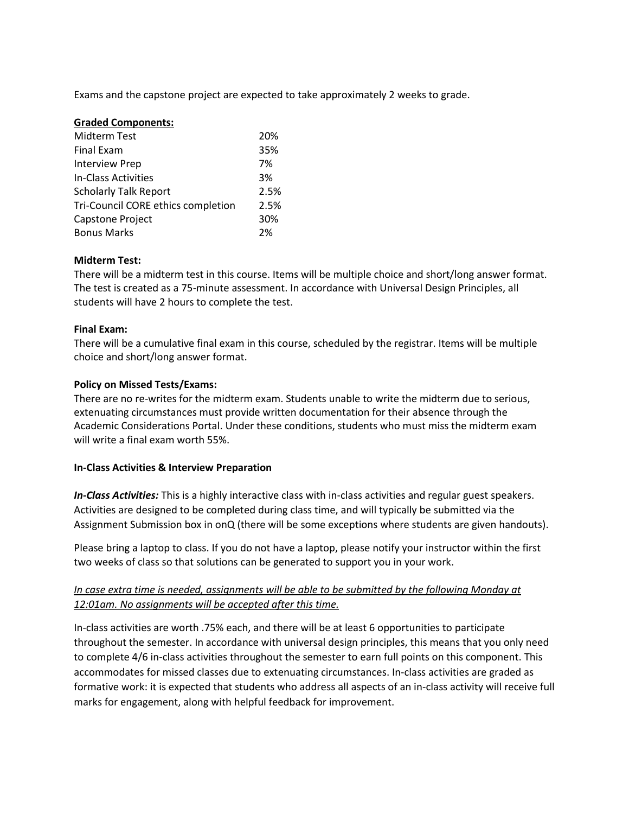Exams and the capstone project are expected to take approximately 2 weeks to grade.

| <b>Graded Components:</b>          |      |
|------------------------------------|------|
| <b>Midterm Test</b>                | 20%  |
| <b>Final Exam</b>                  | 35%  |
| <b>Interview Prep</b>              | 7%   |
| In-Class Activities                | 3%   |
| <b>Scholarly Talk Report</b>       | 2.5% |
| Tri-Council CORE ethics completion | 2.5% |
| Capstone Project                   | 30%  |
| <b>Bonus Marks</b>                 | 2%   |

#### **Midterm Test:**

There will be a midterm test in this course. Items will be multiple choice and short/long answer format. The test is created as a 75-minute assessment. In accordance with Universal Design Principles, all students will have 2 hours to complete the test.

#### **Final Exam:**

There will be a cumulative final exam in this course, scheduled by the registrar. Items will be multiple choice and short/long answer format.

#### **Policy on Missed Tests/Exams:**

There are no re-writes for the midterm exam. Students unable to write the midterm due to serious, extenuating circumstances must provide written documentation for their absence through the Academic Considerations Portal. Under these conditions, students who must miss the midterm exam will write a final exam worth 55%.

#### **In-Class Activities & Interview Preparation**

*In-Class Activities:* This is a highly interactive class with in-class activities and regular guest speakers. Activities are designed to be completed during class time, and will typically be submitted via the Assignment Submission box in onQ (there will be some exceptions where students are given handouts).

Please bring a laptop to class. If you do not have a laptop, please notify your instructor within the first two weeks of class so that solutions can be generated to support you in your work.

## *In case extra time is needed, assignments will be able to be submitted by the following Monday at 12:01am. No assignments will be accepted after this time.*

In-class activities are worth .75% each, and there will be at least 6 opportunities to participate throughout the semester. In accordance with universal design principles, this means that you only need to complete 4/6 in-class activities throughout the semester to earn full points on this component. This accommodates for missed classes due to extenuating circumstances. In-class activities are graded as formative work: it is expected that students who address all aspects of an in-class activity will receive full marks for engagement, along with helpful feedback for improvement.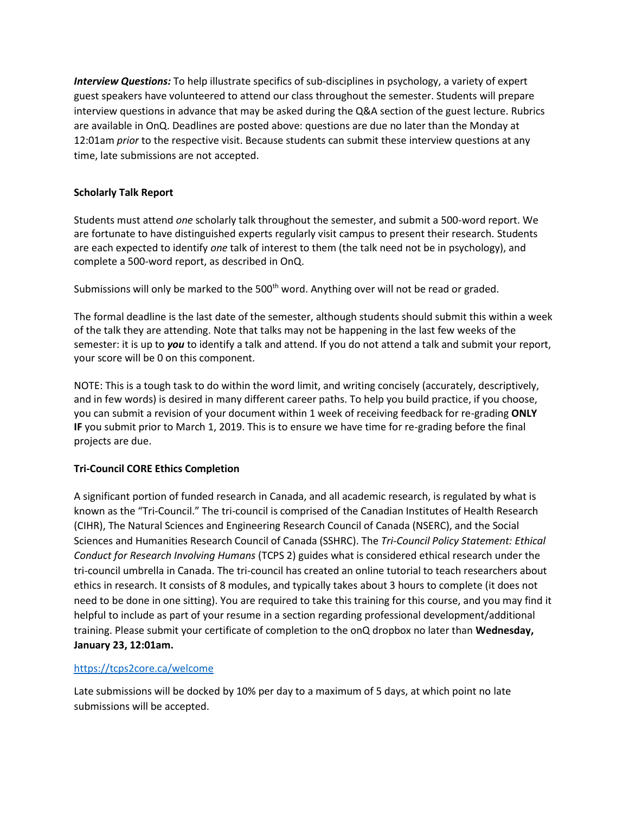*Interview Questions:* To help illustrate specifics of sub-disciplines in psychology, a variety of expert guest speakers have volunteered to attend our class throughout the semester. Students will prepare interview questions in advance that may be asked during the Q&A section of the guest lecture. Rubrics are available in OnQ. Deadlines are posted above: questions are due no later than the Monday at 12:01am *prior* to the respective visit. Because students can submit these interview questions at any time, late submissions are not accepted.

## **Scholarly Talk Report**

Students must attend *one* scholarly talk throughout the semester, and submit a 500-word report. We are fortunate to have distinguished experts regularly visit campus to present their research. Students are each expected to identify *one* talk of interest to them (the talk need not be in psychology), and complete a 500-word report, as described in OnQ.

Submissions will only be marked to the 500<sup>th</sup> word. Anything over will not be read or graded.

The formal deadline is the last date of the semester, although students should submit this within a week of the talk they are attending. Note that talks may not be happening in the last few weeks of the semester: it is up to *you* to identify a talk and attend. If you do not attend a talk and submit your report, your score will be 0 on this component.

NOTE: This is a tough task to do within the word limit, and writing concisely (accurately, descriptively, and in few words) is desired in many different career paths. To help you build practice, if you choose, you can submit a revision of your document within 1 week of receiving feedback for re-grading **ONLY IF** you submit prior to March 1, 2019. This is to ensure we have time for re-grading before the final projects are due.

## **Tri-Council CORE Ethics Completion**

A significant portion of funded research in Canada, and all academic research, is regulated by what is known as the "Tri-Council." The tri-council is comprised of the Canadian Institutes of Health Research (CIHR), The Natural Sciences and Engineering Research Council of Canada (NSERC), and the Social Sciences and Humanities Research Council of Canada (SSHRC). The *Tri-Council Policy Statement: Ethical Conduct for Research Involving Humans* (TCPS 2) guides what is considered ethical research under the tri-council umbrella in Canada. The tri-council has created an online tutorial to teach researchers about ethics in research. It consists of 8 modules, and typically takes about 3 hours to complete (it does not need to be done in one sitting). You are required to take this training for this course, and you may find it helpful to include as part of your resume in a section regarding professional development/additional training. Please submit your certificate of completion to the onQ dropbox no later than **Wednesday, January 23, 12:01am.**

## <https://tcps2core.ca/welcome>

Late submissions will be docked by 10% per day to a maximum of 5 days, at which point no late submissions will be accepted.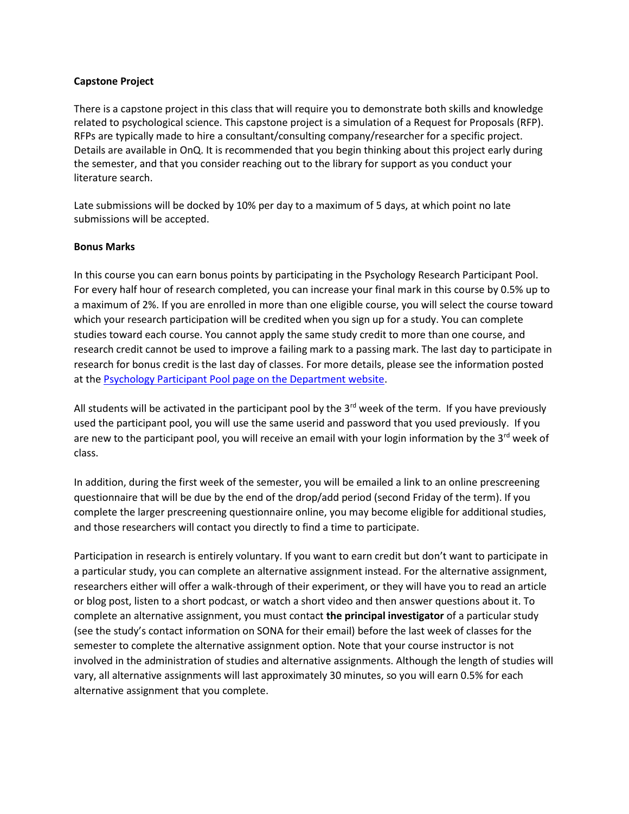#### **Capstone Project**

There is a capstone project in this class that will require you to demonstrate both skills and knowledge related to psychological science. This capstone project is a simulation of a Request for Proposals (RFP). RFPs are typically made to hire a consultant/consulting company/researcher for a specific project. Details are available in OnQ. It is recommended that you begin thinking about this project early during the semester, and that you consider reaching out to the library for support as you conduct your literature search.

Late submissions will be docked by 10% per day to a maximum of 5 days, at which point no late submissions will be accepted.

#### **Bonus Marks**

In this course you can earn bonus points by participating in the Psychology Research Participant Pool. For every half hour of research completed, you can increase your final mark in this course by 0.5% up to a maximum of 2%. If you are enrolled in more than one eligible course, you will select the course toward which your research participation will be credited when you sign up for a study. You can complete studies toward each course. You cannot apply the same study credit to more than one course, and research credit cannot be used to improve a failing mark to a passing mark. The last day to participate in research for bonus credit is the last day of classes. For more details, please see the information posted at the [Psychology Participant Pool page on the Department website.](http://www.queensu.ca/psychology/undergraduate/participant-pool-information)

All students will be activated in the participant pool by the  $3<sup>rd</sup>$  week of the term. If you have previously used the participant pool, you will use the same userid and password that you used previously. If you are new to the participant pool, you will receive an email with your login information by the  $3^{rd}$  week of class.

In addition, during the first week of the semester, you will be emailed a link to an online prescreening questionnaire that will be due by the end of the drop/add period (second Friday of the term). If you complete the larger prescreening questionnaire online, you may become eligible for additional studies, and those researchers will contact you directly to find a time to participate.

Participation in research is entirely voluntary. If you want to earn credit but don't want to participate in a particular study, you can complete an alternative assignment instead. For the alternative assignment, researchers either will offer a walk-through of their experiment, or they will have you to read an article or blog post, listen to a short podcast, or watch a short video and then answer questions about it. To complete an alternative assignment, you must contact **the principal investigator** of a particular study (see the study's contact information on SONA for their email) before the last week of classes for the semester to complete the alternative assignment option. Note that your course instructor is not involved in the administration of studies and alternative assignments. Although the length of studies will vary, all alternative assignments will last approximately 30 minutes, so you will earn 0.5% for each alternative assignment that you complete.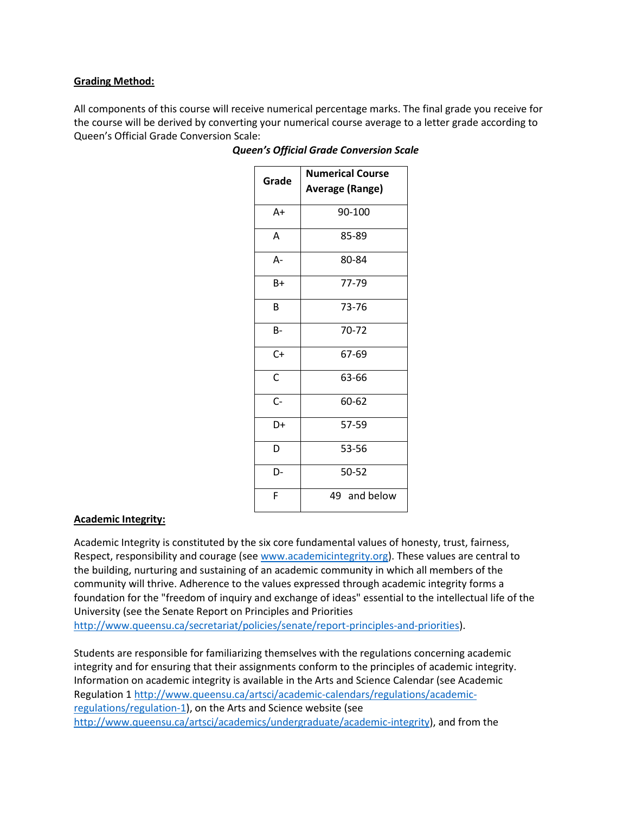## **Grading Method:**

All components of this course will receive numerical percentage marks. The final grade you receive for the course will be derived by converting your numerical course average to a letter grade according to Queen's Official Grade Conversion Scale:

| Grade        | <b>Numerical Course</b><br><b>Average (Range)</b> |
|--------------|---------------------------------------------------|
| $A+$         | 90-100                                            |
| Α            | 85-89                                             |
| A-           | 80-84                                             |
| $B+$         | 77-79                                             |
| B            | 73-76                                             |
| <b>B-</b>    | 70-72                                             |
| $C +$        | 67-69                                             |
| $\mathsf{C}$ | 63-66                                             |
| $C-$         | 60-62                                             |
| D+           | 57-59                                             |
| D            | 53-56                                             |
| D-           | 50-52                                             |
| F            | 49 and below                                      |

#### *Queen's Official Grade Conversion Scale*

#### **Academic Integrity:**

Academic Integrity is constituted by the six core fundamental values of honesty, trust, fairness, Respect, responsibility and courage (se[e www.academicintegrity.org\)](http://www.academicintegrity.org/). These values are central to the building, nurturing and sustaining of an academic community in which all members of the community will thrive. Adherence to the values expressed through academic integrity forms a foundation for the "freedom of inquiry and exchange of ideas" essential to the intellectual life of the University (see the Senate Report on Principles and Priorities

[http://www.queensu.ca/secretariat/policies/senate/report-principles-and-priorities\)](http://www.queensu.ca/secretariat/policies/senate/report-principles-and-priorities).

Students are responsible for familiarizing themselves with the regulations concerning academic integrity and for ensuring that their assignments conform to the principles of academic integrity. Information on academic integrity is available in the Arts and Science Calendar (see Academic Regulation [1 http://www.queensu.ca/artsci/academic-calendars/regulations/academic](http://www.queensu.ca/artsci/academic-calendars/regulations/academic-regulations/regulation-1)[regulations/regulation-1\)](http://www.queensu.ca/artsci/academic-calendars/regulations/academic-regulations/regulation-1), on the Arts and Science website (see [http://www.queensu.ca/artsci/academics/undergraduate/academic-integrity\)](http://www.queensu.ca/artsci/academics/undergraduate/academic-integrity), and from the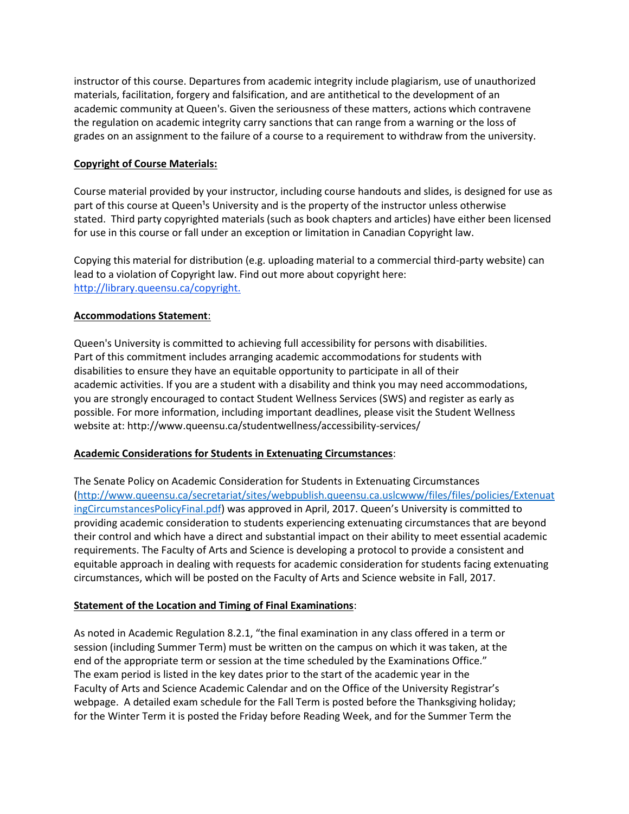instructor of this course. Departures from academic integrity include plagiarism, use of unauthorized materials, facilitation, forgery and falsification, and are antithetical to the development of an academic community at Queen's. Given the seriousness of these matters, actions which contravene the regulation on academic integrity carry sanctions that can range from a warning or the loss of grades on an assignment to the failure of a course to a requirement to withdraw from the university.

## **Copyright of Course Materials:**

Course material provided by your instructor, including course handouts and slides, is designed for use as part of this course at Queen<sup>1</sup>s University and is the property of the instructor unless otherwise stated. Third party copyrighted materials (such as book chapters and articles) have either been licensed for use in this course or fall under an exception or limitation in Canadian Copyright law.

Copying this material for distribution (e.g. uploading material to a commercial third-party website) can lead to a violation of Copyright law. Find out more about copyright here: [http://library.queensu.ca/copyright.](http://library.queensu.ca/copyright)

## **Accommodations Statement**:

Queen's University is committed to achieving full accessibility for persons with disabilities. Part of this commitment includes arranging academic accommodations for students with disabilities to ensure they have an equitable opportunity to participate in all of their academic activities. If you are a student with a disability and think you may need accommodations, you are strongly encouraged to contact Student Wellness Services (SWS) and register as early as possible. For more information, including important deadlines, please visit the Student Wellness website at: http://www.queensu.ca/studentwellness/accessibility-services/

## **Academic Considerations for Students in Extenuating Circumstances**:

The Senate Policy on Academic Consideration for Students in Extenuating Circumstances [\(http://www.queensu.ca/secretariat/sites/webpublish.queensu.ca.uslcwww/files/files/policies/Extenuat](http://www.queensu.ca/secretariat/sites/webpublish.queensu.ca.uslcwww/files/files/policies/ExtenuatingCircumstancesPolicyFinal.pdf) [ingCircumstancesPolicyFinal.pdf](http://www.queensu.ca/secretariat/sites/webpublish.queensu.ca.uslcwww/files/files/policies/ExtenuatingCircumstancesPolicyFinal.pdf)) was approved in April, 2017. Queen's University is committed to providing academic consideration to students experiencing extenuating circumstances that are beyond their control and which have a direct and substantial impact on their ability to meet essential academic requirements. The Faculty of Arts and Science is developing a protocol to provide a consistent and equitable approach in dealing with requests for academic consideration for students facing extenuating circumstances, which will be posted on the Faculty of Arts and Science website in Fall, 2017.

## **Statement of the Location and Timing of Final Examinations**:

As noted in Academic Regulation 8.2.1, "the final examination in any class offered in a term or session (including Summer Term) must be written on the campus on which it was taken, at the end of the appropriate term or session at the time scheduled by the Examinations Office." The exam period is listed in the key dates prior to the start of the academic year in the Faculty of Arts and Science Academic Calendar and on the Office of the University Registrar's webpage. A detailed exam schedule for the Fall Term is posted before the Thanksgiving holiday; for the Winter Term it is posted the Friday before Reading Week, and for the Summer Term the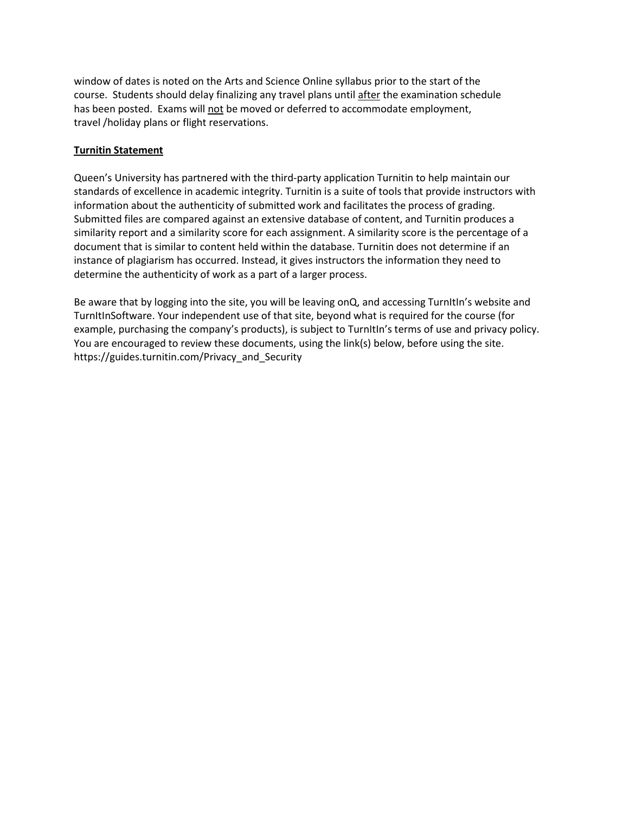window of dates is noted on the Arts and Science Online syllabus prior to the start of the course. Students should delay finalizing any travel plans until after the examination schedule has been posted. Exams will not be moved or deferred to accommodate employment, travel /holiday plans or flight reservations.

## **Turnitin Statement**

Queen's University has partnered with the third-party application Turnitin to help maintain our standards of excellence in academic integrity. Turnitin is a suite of tools that provide instructors with information about the authenticity of submitted work and facilitates the process of grading. Submitted files are compared against an extensive database of content, and Turnitin produces a similarity report and a similarity score for each assignment. A similarity score is the percentage of a document that is similar to content held within the database. Turnitin does not determine if an instance of plagiarism has occurred. Instead, it gives instructors the information they need to determine the authenticity of work as a part of a larger process.

Be aware that by logging into the site, you will be leaving onQ, and accessing TurnItIn's website and TurnItInSoftware. Your independent use of that site, beyond what is required for the course (for example, purchasing the company's products), is subject to TurnItIn's terms of use and privacy policy. You are encouraged to review these documents, using the link(s) below, before using the site. https://guides.turnitin.com/Privacy\_and\_Security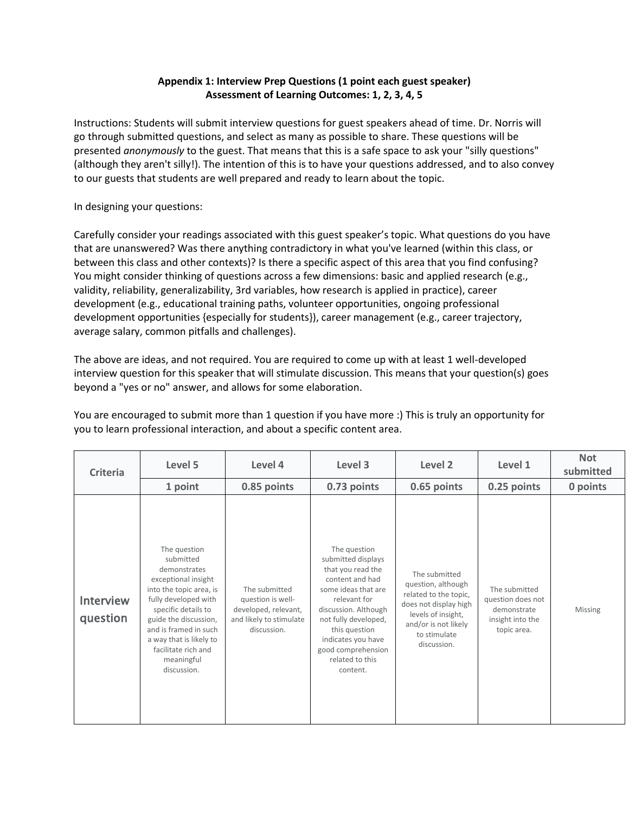## **Appendix 1: Interview Prep Questions (1 point each guest speaker) Assessment of Learning Outcomes: 1, 2, 3, 4, 5**

Instructions: Students will submit interview questions for guest speakers ahead of time. Dr. Norris will go through submitted questions, and select as many as possible to share. These questions will be presented *anonymously* to the guest. That means that this is a safe space to ask your "silly questions" (although they aren't silly!). The intention of this is to have your questions addressed, and to also convey to our guests that students are well prepared and ready to learn about the topic.

In designing your questions:

Carefully consider your readings associated with this guest speaker's topic. What questions do you have that are unanswered? Was there anything contradictory in what you've learned (within this class, or between this class and other contexts)? Is there a specific aspect of this area that you find confusing? You might consider thinking of questions across a few dimensions: basic and applied research (e.g., validity, reliability, generalizability, 3rd variables, how research is applied in practice), career development (e.g., educational training paths, volunteer opportunities, ongoing professional development opportunities {especially for students}), career management (e.g., career trajectory, average salary, common pitfalls and challenges).

The above are ideas, and not required. You are required to come up with at least 1 well-developed interview question for this speaker that will stimulate discussion. This means that your question(s) goes beyond a "yes or no" answer, and allows for some elaboration.

You are encouraged to submit more than 1 question if you have more :) This is truly an opportunity for you to learn professional interaction, and about a specific content area.

| <b>Criteria</b>       | Level 5                                                                                                                                                                                                                                                                     | Level 4                                                                                              | Level 3                                                                                                                                                                                                                                                       | Level <sub>2</sub>                                                                                                                                                 | Level 1                                                                              | <b>Not</b><br>submitted |
|-----------------------|-----------------------------------------------------------------------------------------------------------------------------------------------------------------------------------------------------------------------------------------------------------------------------|------------------------------------------------------------------------------------------------------|---------------------------------------------------------------------------------------------------------------------------------------------------------------------------------------------------------------------------------------------------------------|--------------------------------------------------------------------------------------------------------------------------------------------------------------------|--------------------------------------------------------------------------------------|-------------------------|
|                       | 1 point                                                                                                                                                                                                                                                                     | 0.85 points                                                                                          | 0.73 points                                                                                                                                                                                                                                                   | 0.65 points                                                                                                                                                        | 0.25 points                                                                          | 0 points                |
| Interview<br>question | The question<br>submitted<br>demonstrates<br>exceptional insight<br>into the topic area, is<br>fully developed with<br>specific details to<br>guide the discussion,<br>and is framed in such<br>a way that is likely to<br>facilitate rich and<br>meaningful<br>discussion. | The submitted<br>question is well-<br>developed, relevant,<br>and likely to stimulate<br>discussion. | The question<br>submitted displays<br>that you read the<br>content and had<br>some ideas that are<br>relevant for<br>discussion. Although<br>not fully developed,<br>this question<br>indicates you have<br>good comprehension<br>related to this<br>content. | The submitted<br>question, although<br>related to the topic,<br>does not display high<br>levels of insight,<br>and/or is not likely<br>to stimulate<br>discussion. | The submitted<br>question does not<br>demonstrate<br>insight into the<br>topic area. | <b>Missing</b>          |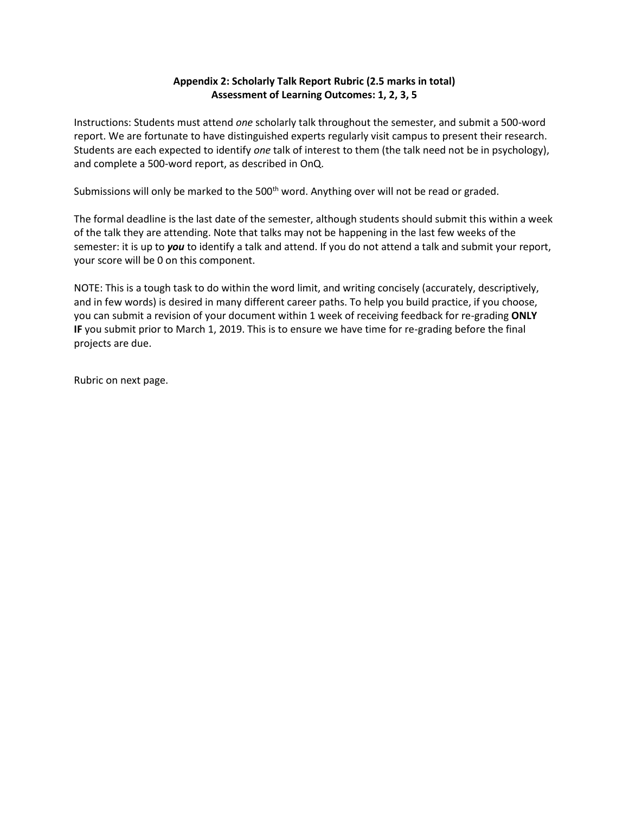## **Appendix 2: Scholarly Talk Report Rubric (2.5 marks in total) Assessment of Learning Outcomes: 1, 2, 3, 5**

Instructions: Students must attend *one* scholarly talk throughout the semester, and submit a 500-word report. We are fortunate to have distinguished experts regularly visit campus to present their research. Students are each expected to identify *one* talk of interest to them (the talk need not be in psychology), and complete a 500-word report, as described in OnQ.

Submissions will only be marked to the 500<sup>th</sup> word. Anything over will not be read or graded.

The formal deadline is the last date of the semester, although students should submit this within a week of the talk they are attending. Note that talks may not be happening in the last few weeks of the semester: it is up to *you* to identify a talk and attend. If you do not attend a talk and submit your report, your score will be 0 on this component.

NOTE: This is a tough task to do within the word limit, and writing concisely (accurately, descriptively, and in few words) is desired in many different career paths. To help you build practice, if you choose, you can submit a revision of your document within 1 week of receiving feedback for re-grading **ONLY IF** you submit prior to March 1, 2019. This is to ensure we have time for re-grading before the final projects are due.

Rubric on next page.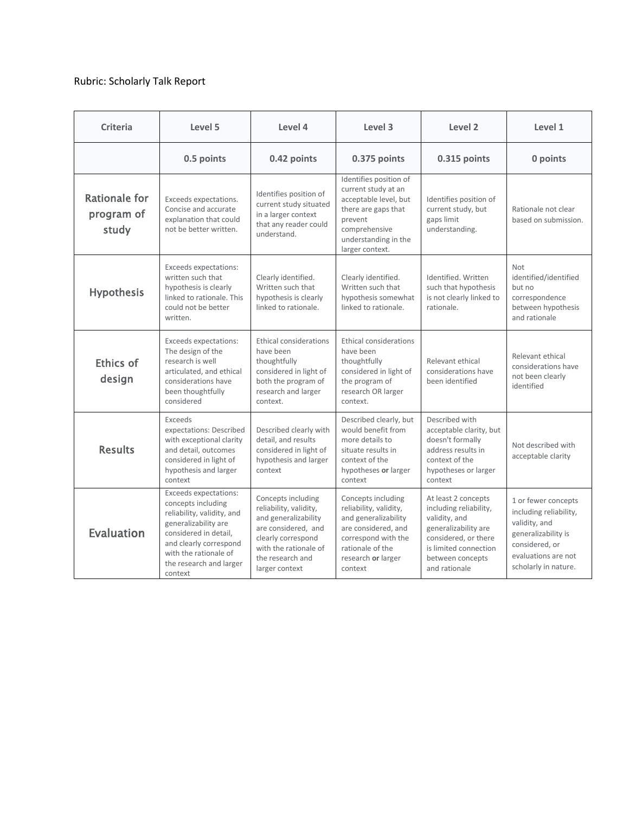## Rubric: Scholarly Talk Report

| <b>Criteria</b>                             | Level 5                                                                                                                                                                                                                    | Level 4                                                                                                                                                                          | Level 3                                                                                                                                                                 | Level 2                                                                                                                                                                      | Level 1                                                                                                                                                |
|---------------------------------------------|----------------------------------------------------------------------------------------------------------------------------------------------------------------------------------------------------------------------------|----------------------------------------------------------------------------------------------------------------------------------------------------------------------------------|-------------------------------------------------------------------------------------------------------------------------------------------------------------------------|------------------------------------------------------------------------------------------------------------------------------------------------------------------------------|--------------------------------------------------------------------------------------------------------------------------------------------------------|
|                                             | 0.5 points                                                                                                                                                                                                                 | 0.42 points                                                                                                                                                                      | 0.375 points                                                                                                                                                            | 0.315 points                                                                                                                                                                 | 0 points                                                                                                                                               |
| <b>Rationale for</b><br>program of<br>study | Exceeds expectations.<br>Concise and accurate<br>explanation that could<br>not be better written.                                                                                                                          | Identifies position of<br>current study situated<br>in a larger context<br>that any reader could<br>understand.                                                                  | Identifies position of<br>current study at an<br>acceptable level, but<br>there are gaps that<br>prevent<br>comprehensive<br>understanding in the<br>larger context.    | Identifies position of<br>current study, but<br>gaps limit<br>understanding.                                                                                                 | Rationale not clear<br>based on submission.                                                                                                            |
| <b>Hypothesis</b>                           | Exceeds expectations:<br>written such that<br>hypothesis is clearly<br>linked to rationale. This<br>could not be better<br>written.                                                                                        | Clearly identified.<br>Written such that<br>hypothesis is clearly<br>linked to rationale.                                                                                        | Clearly identified.<br>Written such that<br>hypothesis somewhat<br>linked to rationale.                                                                                 | Identified, Written<br>such that hypothesis<br>is not clearly linked to<br>rationale.                                                                                        | <b>Not</b><br>identified/identified<br>but no<br>correspondence<br>between hypothesis<br>and rationale                                                 |
| Ethics of<br>design                         | Exceeds expectations:<br>The design of the<br>research is well<br>articulated, and ethical<br>considerations have<br>been thoughtfully<br>considered                                                                       | Ethical considerations<br>have been<br>thoughtfully<br>considered in light of<br>both the program of<br>research and larger<br>context.                                          | Ethical considerations<br>have been<br>thoughtfully<br>considered in light of<br>the program of<br>research OR larger<br>context.                                       | Relevant ethical<br>considerations have<br>been identified                                                                                                                   | Relevant ethical<br>considerations have<br>not been clearly<br>identified                                                                              |
| <b>Results</b>                              | Exceeds<br>expectations: Described<br>with exceptional clarity<br>and detail, outcomes<br>considered in light of<br>hypothesis and larger<br>context                                                                       | Described clearly with<br>detail, and results<br>considered in light of<br>hypothesis and larger<br>context                                                                      | Described clearly, but<br>would benefit from<br>more details to<br>situate results in<br>context of the<br>hypotheses or larger<br>context                              | Described with<br>acceptable clarity, but<br>doesn't formally<br>address results in<br>context of the<br>hypotheses or larger<br>context                                     | Not described with<br>acceptable clarity                                                                                                               |
| <b>Evaluation</b>                           | <b>Exceeds expectations:</b><br>concepts including<br>reliability, validity, and<br>generalizability are<br>considered in detail,<br>and clearly correspond<br>with the rationale of<br>the research and larger<br>context | Concepts including<br>reliability, validity,<br>and generalizability<br>are considered, and<br>clearly correspond<br>with the rationale of<br>the research and<br>larger context | Concepts including<br>reliability, validity,<br>and generalizability<br>are considered, and<br>correspond with the<br>rationale of the<br>research or larger<br>context | At least 2 concepts<br>including reliability,<br>validity, and<br>generalizability are<br>considered, or there<br>is limited connection<br>between concepts<br>and rationale | 1 or fewer concepts<br>including reliability,<br>validity, and<br>generalizability is<br>considered, or<br>evaluations are not<br>scholarly in nature. |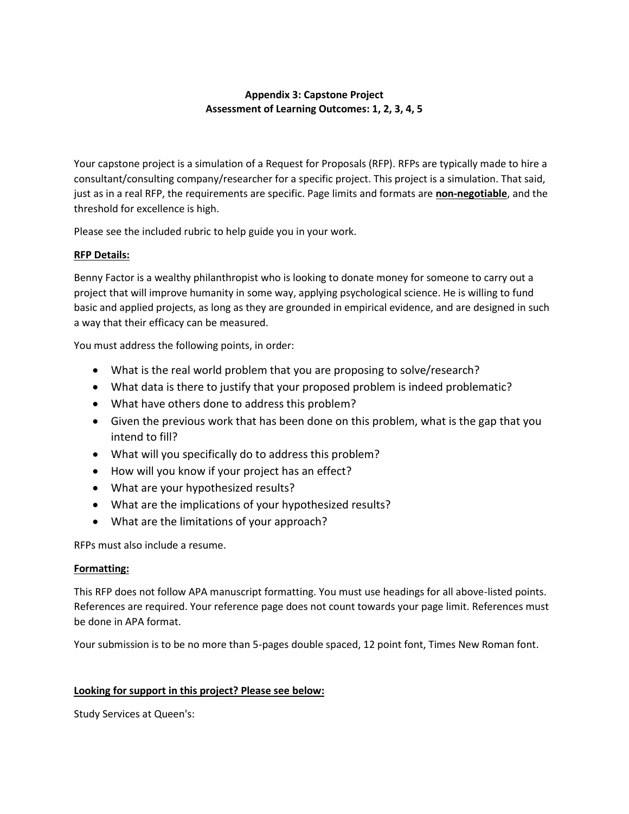## **Appendix 3: Capstone Project Assessment of Learning Outcomes: 1, 2, 3, 4, 5**

Your capstone project is a simulation of a Request for Proposals (RFP). RFPs are typically made to hire a consultant/consulting company/researcher for a specific project. This project is a simulation. That said, just as in a real RFP, the requirements are specific. Page limits and formats are **non-negotiable**, and the threshold for excellence is high.

Please see the included rubric to help guide you in your work.

## **RFP Details:**

Benny Factor is a wealthy philanthropist who is looking to donate money for someone to carry out a project that will improve humanity in some way, applying psychological science. He is willing to fund basic and applied projects, as long as they are grounded in empirical evidence, and are designed in such a way that their efficacy can be measured.

You must address the following points, in order:

- What is the real world problem that you are proposing to solve/research?
- What data is there to justify that your proposed problem is indeed problematic?
- What have others done to address this problem?
- Given the previous work that has been done on this problem, what is the gap that you intend to fill?
- What will you specifically do to address this problem?
- How will you know if your project has an effect?
- What are your hypothesized results?
- What are the implications of your hypothesized results?
- What are the limitations of your approach?

RFPs must also include a resume.

## **Formatting:**

This RFP does not follow APA manuscript formatting. You must use headings for all above-listed points. References are required. Your reference page does not count towards your page limit. References must be done in APA format.

Your submission is to be no more than 5-pages double spaced, 12 point font, Times New Roman font.

## **Looking for support in this project? Please see below:**

Study Services at Queen's: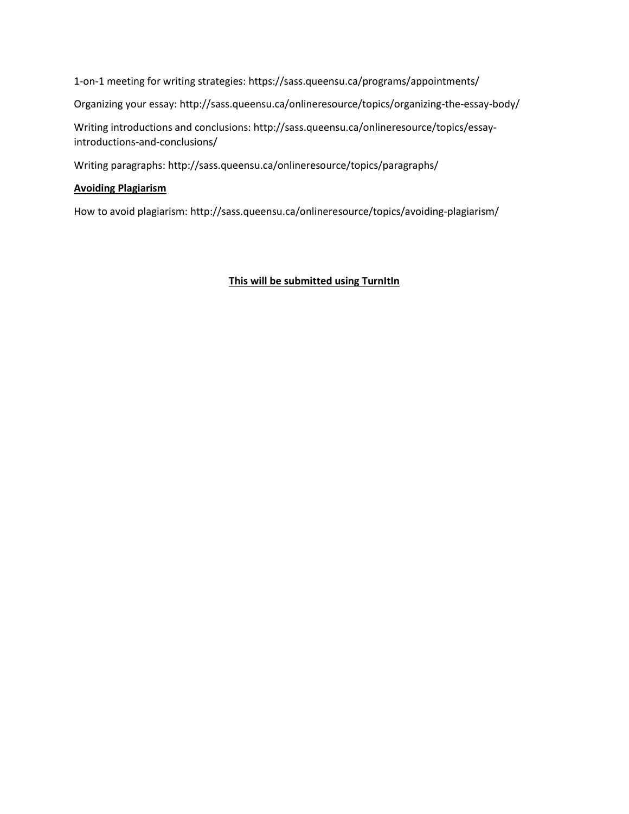1-on-1 meeting for writing strategies: https://sass.queensu.ca/programs/appointments/

Organizing your essay: http://sass.queensu.ca/onlineresource/topics/organizing-the-essay-body/

Writing introductions and conclusions: http://sass.queensu.ca/onlineresource/topics/essayintroductions-and-conclusions/

Writing paragraphs: http://sass.queensu.ca/onlineresource/topics/paragraphs/

## **Avoiding Plagiarism**

How to avoid plagiarism: http://sass.queensu.ca/onlineresource/topics/avoiding-plagiarism/

## **This will be submitted using TurnItIn**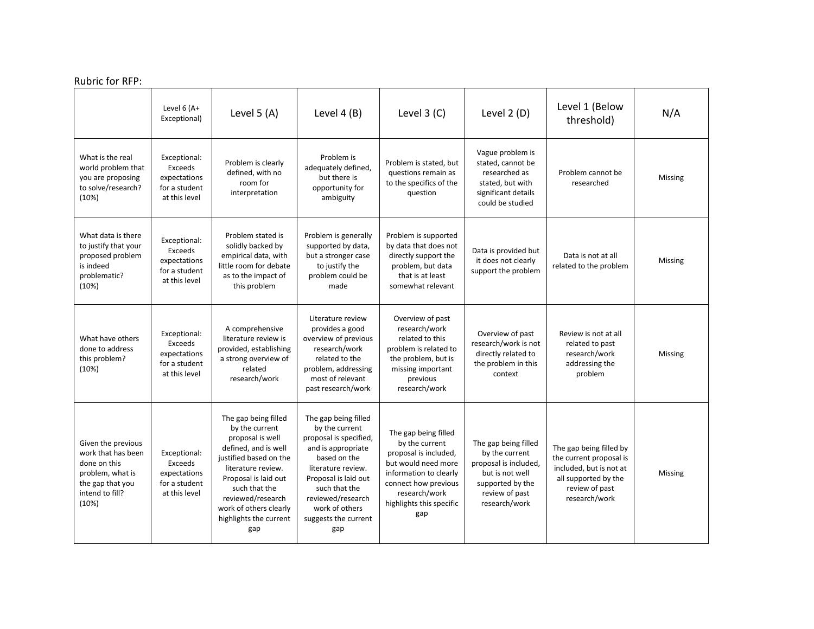## Rubric for RFP:

|                                                                                                                              | Level 6 (A+<br>Exceptional)                                                      | Level $5(A)$                                                                                                                                                                                                                                                | Level $4(B)$                                                                                                                                                                                                                                | Level $3$ (C)                                                                                                                                                                                | Level 2 (D)                                                                                                                               | Level 1 (Below<br>threshold)                                                                                                             | N/A     |
|------------------------------------------------------------------------------------------------------------------------------|----------------------------------------------------------------------------------|-------------------------------------------------------------------------------------------------------------------------------------------------------------------------------------------------------------------------------------------------------------|---------------------------------------------------------------------------------------------------------------------------------------------------------------------------------------------------------------------------------------------|----------------------------------------------------------------------------------------------------------------------------------------------------------------------------------------------|-------------------------------------------------------------------------------------------------------------------------------------------|------------------------------------------------------------------------------------------------------------------------------------------|---------|
| What is the real<br>world problem that<br>you are proposing<br>to solve/research?<br>(10%)                                   | Exceptional:<br><b>Exceeds</b><br>expectations<br>for a student<br>at this level | Problem is clearly<br>defined, with no<br>room for<br>interpretation                                                                                                                                                                                        | Problem is<br>adequately defined,<br>but there is<br>opportunity for<br>ambiguity                                                                                                                                                           | Problem is stated, but<br>questions remain as<br>to the specifics of the<br>question                                                                                                         | Vague problem is<br>stated, cannot be<br>researched as<br>stated, but with<br>significant details<br>could be studied                     | Problem cannot be<br>researched                                                                                                          | Missing |
| What data is there<br>to justify that your<br>proposed problem<br>is indeed<br>problematic?<br>(10%)                         | Exceptional:<br>Exceeds<br>expectations<br>for a student<br>at this level        | Problem stated is<br>solidly backed by<br>empirical data, with<br>little room for debate<br>as to the impact of<br>this problem                                                                                                                             | Problem is generally<br>supported by data,<br>but a stronger case<br>to justify the<br>problem could be<br>made                                                                                                                             | Problem is supported<br>by data that does not<br>directly support the<br>problem, but data<br>that is at least<br>somewhat relevant                                                          | Data is provided but<br>it does not clearly<br>support the problem                                                                        | Data is not at all<br>related to the problem                                                                                             | Missing |
| What have others<br>done to address<br>this problem?<br>(10%)                                                                | Exceptional:<br><b>Exceeds</b><br>expectations<br>for a student<br>at this level | A comprehensive<br>literature review is<br>provided, establishing<br>a strong overview of<br>related<br>research/work                                                                                                                                       | Literature review<br>provides a good<br>overview of previous<br>research/work<br>related to the<br>problem, addressing<br>most of relevant<br>past research/work                                                                            | Overview of past<br>research/work<br>related to this<br>problem is related to<br>the problem, but is<br>missing important<br>previous<br>research/work                                       | Overview of past<br>research/work is not<br>directly related to<br>the problem in this<br>context                                         | Review is not at all<br>related to past<br>research/work<br>addressing the<br>problem                                                    | Missing |
| Given the previous<br>work that has been<br>done on this<br>problem, what is<br>the gap that you<br>intend to fill?<br>(10%) | Exceptional:<br><b>Exceeds</b><br>expectations<br>for a student<br>at this level | The gap being filled<br>by the current<br>proposal is well<br>defined, and is well<br>justified based on the<br>literature review.<br>Proposal is laid out<br>such that the<br>reviewed/research<br>work of others clearly<br>highlights the current<br>gap | The gap being filled<br>by the current<br>proposal is specified,<br>and is appropriate<br>based on the<br>literature review.<br>Proposal is laid out<br>such that the<br>reviewed/research<br>work of others<br>suggests the current<br>gap | The gap being filled<br>by the current<br>proposal is included,<br>but would need more<br>information to clearly<br>connect how previous<br>research/work<br>highlights this specific<br>gap | The gap being filled<br>by the current<br>proposal is included,<br>but is not well<br>supported by the<br>review of past<br>research/work | The gap being filled by<br>the current proposal is<br>included, but is not at<br>all supported by the<br>review of past<br>research/work | Missing |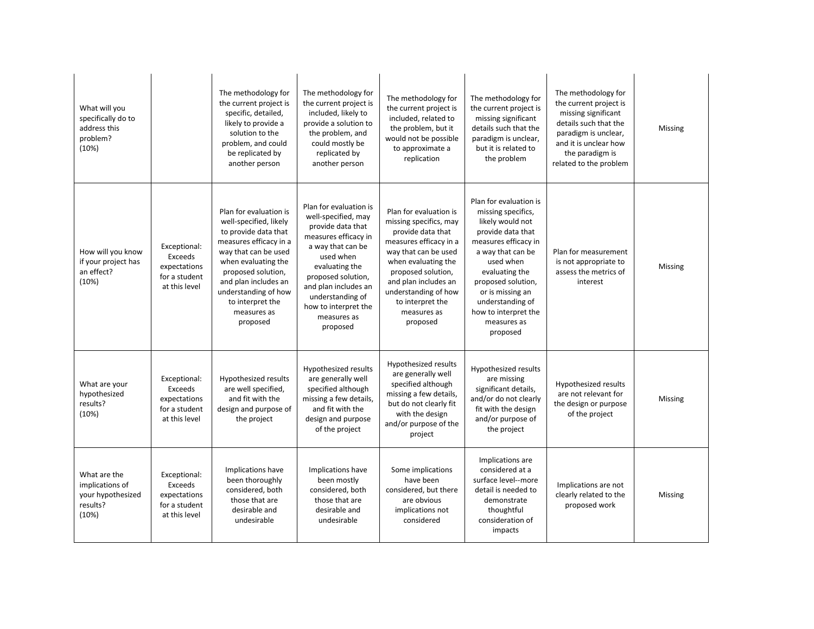| What will you<br>specifically do to<br>address this<br>problem?<br>(10%)  |                                                                           | The methodology for<br>the current project is<br>specific, detailed,<br>likely to provide a<br>solution to the<br>problem, and could<br>be replicated by<br>another person                                                                                             | The methodology for<br>the current project is<br>included, likely to<br>provide a solution to<br>the problem, and<br>could mostly be<br>replicated by<br>another person                                                                                             | The methodology for<br>the current project is<br>included, related to<br>the problem, but it<br>would not be possible<br>to approximate a<br>replication                                                                                                            | The methodology for<br>the current project is<br>missing significant<br>details such that the<br>paradigm is unclear,<br>but it is related to<br>the problem                                                                                                                       | The methodology for<br>the current project is<br>missing significant<br>details such that the<br>paradigm is unclear,<br>and it is unclear how<br>the paradigm is<br>related to the problem | Missing |
|---------------------------------------------------------------------------|---------------------------------------------------------------------------|------------------------------------------------------------------------------------------------------------------------------------------------------------------------------------------------------------------------------------------------------------------------|---------------------------------------------------------------------------------------------------------------------------------------------------------------------------------------------------------------------------------------------------------------------|---------------------------------------------------------------------------------------------------------------------------------------------------------------------------------------------------------------------------------------------------------------------|------------------------------------------------------------------------------------------------------------------------------------------------------------------------------------------------------------------------------------------------------------------------------------|---------------------------------------------------------------------------------------------------------------------------------------------------------------------------------------------|---------|
| How will you know<br>if your project has<br>an effect?<br>(10%)           | Exceptional:<br>Exceeds<br>expectations<br>for a student<br>at this level | Plan for evaluation is<br>well-specified, likely<br>to provide data that<br>measures efficacy in a<br>way that can be used<br>when evaluating the<br>proposed solution,<br>and plan includes an<br>understanding of how<br>to interpret the<br>measures as<br>proposed | Plan for evaluation is<br>well-specified, may<br>provide data that<br>measures efficacy in<br>a way that can be<br>used when<br>evaluating the<br>proposed solution,<br>and plan includes an<br>understanding of<br>how to interpret the<br>measures as<br>proposed | Plan for evaluation is<br>missing specifics, may<br>provide data that<br>measures efficacy in a<br>way that can be used<br>when evaluating the<br>proposed solution,<br>and plan includes an<br>understanding of how<br>to interpret the<br>measures as<br>proposed | Plan for evaluation is<br>missing specifics,<br>likely would not<br>provide data that<br>measures efficacy in<br>a way that can be<br>used when<br>evaluating the<br>proposed solution,<br>or is missing an<br>understanding of<br>how to interpret the<br>measures as<br>proposed | Plan for measurement<br>is not appropriate to<br>assess the metrics of<br>interest                                                                                                          | Missing |
| What are your<br>hypothesized<br>results?<br>(10%)                        | Exceptional:<br>Exceeds<br>expectations<br>for a student<br>at this level | Hypothesized results<br>are well specified,<br>and fit with the<br>design and purpose of<br>the project                                                                                                                                                                | Hypothesized results<br>are generally well<br>specified although<br>missing a few details,<br>and fit with the<br>design and purpose<br>of the project                                                                                                              | Hypothesized results<br>are generally well<br>specified although<br>missing a few details,<br>but do not clearly fit<br>with the design<br>and/or purpose of the<br>project                                                                                         | Hypothesized results<br>are missing<br>significant details,<br>and/or do not clearly<br>fit with the design<br>and/or purpose of<br>the project                                                                                                                                    | Hypothesized results<br>are not relevant for<br>the design or purpose<br>of the project                                                                                                     | Missing |
| What are the<br>implications of<br>your hypothesized<br>results?<br>(10%) | Exceptional:<br>Exceeds<br>expectations<br>for a student<br>at this level | Implications have<br>been thoroughly<br>considered, both<br>those that are<br>desirable and<br>undesirable                                                                                                                                                             | Implications have<br>been mostly<br>considered, both<br>those that are<br>desirable and<br>undesirable                                                                                                                                                              | Some implications<br>have been<br>considered, but there<br>are obvious<br>implications not<br>considered                                                                                                                                                            | Implications are<br>considered at a<br>surface level--more<br>detail is needed to<br>demonstrate<br>thoughtful<br>consideration of<br>impacts                                                                                                                                      | Implications are not<br>clearly related to the<br>proposed work                                                                                                                             | Missing |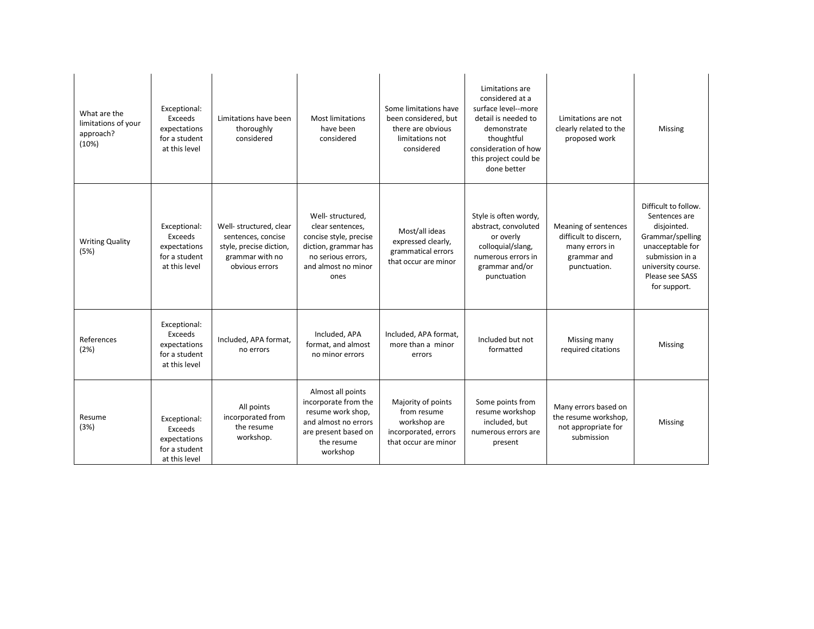| (10%)          | What are the<br>limitations of your<br>approach? | Exceptional:<br>Exceeds<br>expectations<br>for a student<br>at this level | Limitations have been<br>thoroughly<br>considered                                                             | <b>Most limitations</b><br>have been<br>considered                                                                                           | Some limitations have<br>been considered, but<br>there are obvious<br>limitations not<br>considered | Limitations are<br>considered at a<br>surface level--more<br>detail is needed to<br>demonstrate<br>thoughtful<br>consideration of how<br>this project could be<br>done better | Limitations are not<br>clearly related to the<br>proposed work                                 | Missing                                                                                                                                                                  |
|----------------|--------------------------------------------------|---------------------------------------------------------------------------|---------------------------------------------------------------------------------------------------------------|----------------------------------------------------------------------------------------------------------------------------------------------|-----------------------------------------------------------------------------------------------------|-------------------------------------------------------------------------------------------------------------------------------------------------------------------------------|------------------------------------------------------------------------------------------------|--------------------------------------------------------------------------------------------------------------------------------------------------------------------------|
| (5%)           | <b>Writing Quality</b>                           | Exceptional:<br>Exceeds<br>expectations<br>for a student<br>at this level | Well- structured, clear<br>sentences, concise<br>style, precise diction,<br>grammar with no<br>obvious errors | Well- structured,<br>clear sentences,<br>concise style, precise<br>diction, grammar has<br>no serious errors,<br>and almost no minor<br>ones | Most/all ideas<br>expressed clearly,<br>grammatical errors<br>that occur are minor                  | Style is often wordy,<br>abstract, convoluted<br>or overly<br>colloquial/slang,<br>numerous errors in<br>grammar and/or<br>punctuation                                        | Meaning of sentences<br>difficult to discern,<br>many errors in<br>grammar and<br>punctuation. | Difficult to follow.<br>Sentences are<br>disjointed.<br>Grammar/spelling<br>unacceptable for<br>submission in a<br>university course.<br>Please see SASS<br>for support. |
| (2%)           | References                                       | Exceptional:<br>Exceeds<br>expectations<br>for a student<br>at this level | Included, APA format,<br>no errors                                                                            | Included, APA<br>format, and almost<br>no minor errors                                                                                       | Included, APA format,<br>more than a minor<br>errors                                                | Included but not<br>formatted                                                                                                                                                 | Missing many<br>required citations                                                             | Missing                                                                                                                                                                  |
| Resume<br>(3%) |                                                  | Exceptional:<br>Exceeds<br>expectations<br>for a student<br>at this level | All points<br>incorporated from<br>the resume<br>workshop.                                                    | Almost all points<br>incorporate from the<br>resume work shop,<br>and almost no errors<br>are present based on<br>the resume<br>workshop     | Majority of points<br>from resume<br>workshop are<br>incorporated, errors<br>that occur are minor   | Some points from<br>resume workshop<br>included, but<br>numerous errors are<br>present                                                                                        | Many errors based on<br>the resume workshop,<br>not appropriate for<br>submission              | Missing                                                                                                                                                                  |